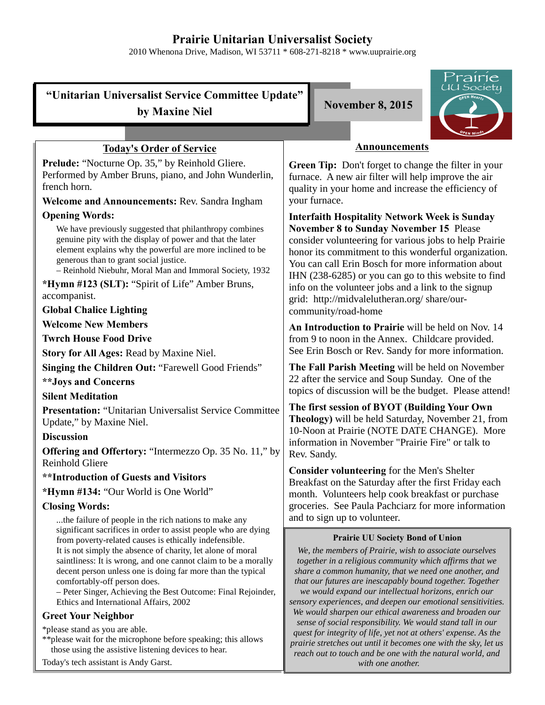# **Prairie Unitarian Universalist Society**

2010 Whenona Drive, Madison, WI 53711 \* 608-271-8218 \* www.uuprairie.org

UU Society **"Unitarian Universalist Service Committee Update" by Maxine Niel November 8, 2015 Announcements Today's Order of Service** Prelude: "Nocturne Op. 35," by Reinhold Gliere. **Green Tip:** Don't forget to change the filter in your Performed by Amber Bruns, piano, and John Wunderlin, furnace. A new air filter will help improve the air french horn. quality in your home and increase the efficiency of your furnace. **Welcome and Announcements:** Rev. Sandra Ingham **Opening Words: Interfaith Hospitality Network Week is Sunday** We have previously suggested that philanthropy combines **November 8 to Sunday November 15** Please genuine pity with the display of power and that the later consider volunteering for various jobs to help Prairie element explains why the powerful are more inclined to be honor its commitment to this wonderful organization. generous than to grant social justice. You can call Erin Bosch for more information about – Reinhold Niebuhr, Moral Man and Immoral Society, 1932 IHN (238-6285) or you can go to this website to find **\*Hymn #123 (SLT):** "Spirit of Life" Amber Bruns, info on the volunteer jobs and a link to the signup accompanist. grid: http://midvalelutheran.org/ share/our-**Global Chalice Lighting** community/road-home **Welcome New Members An Introduction to Prairie** will be held on Nov. 14 **Twrch House Food Drive** from 9 to noon in the Annex. Childcare provided. See Erin Bosch or Rev. Sandy for more information. **Story for All Ages:** Read by Maxine Niel. **The Fall Parish Meeting** will be held on November **Singing the Children Out:** "Farewell Good Friends" 22 after the service and Soup Sunday. One of the **\*\*Joys and Concerns** topics of discussion will be the budget. Please attend! **Silent Meditation The first session of BYOT (Building Your Own Presentation:** "Unitarian Universalist Service Committee **Theology)** will be held Saturday, November 21, from Update," by Maxine Niel. 10-Noon at Prairie (NOTE DATE CHANGE). More **Discussion** information in November "Prairie Fire" or talk to **Offering and Offertory:** "Intermezzo Op. 35 No. 11," by Rev. Sandy. Reinhold Gliere **Consider volunteering** for the Men's Shelter **\*\*Introduction of Guests and Visitors** Breakfast on the Saturday after the first Friday each **\*Hymn #134:** "Our World is One World" month. Volunteers help cook breakfast or purchase **Closing Words:** groceries. See Paula Pachciarz for more information and to sign up to volunteer. ...the failure of people in the rich nations to make any significant sacrifices in order to assist people who are dying **Prairie UU Society Bond of Union** from poverty-related causes is ethically indefensible. It is not simply the absence of charity, let alone of moral *We, the members of Prairie, wish to associate ourselves* saintliness: It is wrong, and one cannot claim to be a morally *together in a religious community which affirms that we* decent person unless one is doing far more than the typical *share a common humanity, that we need one another, and* comfortably-off person does. *that our futures are inescapably bound together. Together* – Peter Singer, Achieving the Best Outcome: Final Rejoinder, *we would expand our intellectual horizons, enrich our* Ethics and International Affairs, 2002 *sensory experiences, and deepen our emotional sensitivities. We would sharpen our ethical awareness and broaden our* **Greet Your Neighbor** *sense of social responsibility. We would stand tall in our* \*please stand as you are able. *quest for integrity of life, yet not at others' expense. As the*

\*\*please wait for the microphone before speaking; this allows those using the assistive listening devices to hear.

Today's tech assistant is Andy Garst.



*prairie stretches out until it becomes one with the sky, let us reach out to touch and be one with the natural world, and with one another.*